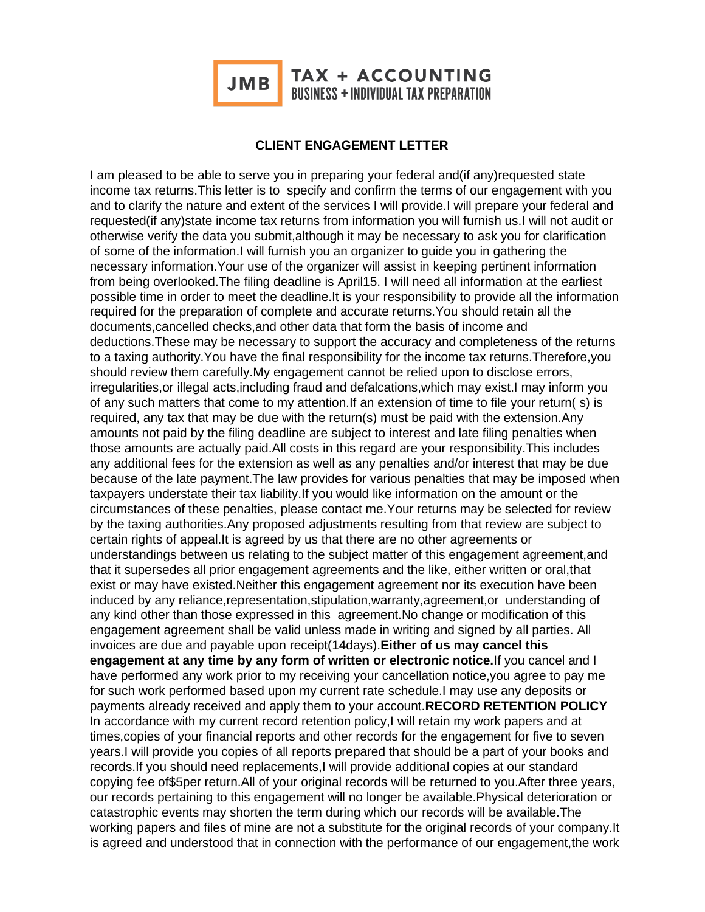

## **CLIENT ENGAGEMENT LETTER**

I am pleased to be able to serve you in preparing your federal and(if any)requested state income tax returns.This letter is to specify and confirm the terms of our engagement with you and to clarify the nature and extent of the services I will provide.I will prepare your federal and requested(if any)state income tax returns from information you will furnish us.I will not audit or otherwise verify the data you submit,although it may be necessary to ask you for clarification of some of the information.I will furnish you an organizer to guide you in gathering the necessary information.Your use of the organizer will assist in keeping pertinent information from being overlooked.The filing deadline is April15. I will need all information at the earliest possible time in order to meet the deadline.It is your responsibility to provide all the information required for the preparation of complete and accurate returns.You should retain all the documents,cancelled checks,and other data that form the basis of income and deductions.These may be necessary to support the accuracy and completeness of the returns to a taxing authority.You have the final responsibility for the income tax returns.Therefore,you should review them carefully.My engagement cannot be relied upon to disclose errors, irregularities,or illegal acts,including fraud and defalcations,which may exist.I may inform you of any such matters that come to my attention.If an extension of time to file your return( s) is required, any tax that may be due with the return(s) must be paid with the extension.Any amounts not paid by the filing deadline are subject to interest and late filing penalties when those amounts are actually paid.All costs in this regard are your responsibility.This includes any additional fees for the extension as well as any penalties and/or interest that may be due because of the late payment.The law provides for various penalties that may be imposed when taxpayers understate their tax liability.If you would like information on the amount or the circumstances of these penalties, please contact me.Your returns may be selected for review by the taxing authorities.Any proposed adjustments resulting from that review are subject to certain rights of appeal.It is agreed by us that there are no other agreements or understandings between us relating to the subject matter of this engagement agreement,and that it supersedes all prior engagement agreements and the like, either written or oral,that exist or may have existed.Neither this engagement agreement nor its execution have been induced by any reliance,representation,stipulation,warranty,agreement,or understanding of any kind other than those expressed in this agreement.No change or modification of this engagement agreement shall be valid unless made in writing and signed by all parties. All invoices are due and payable upon receipt(14days).**Either of us may cancel this engagement at any time by any form of written or electronic notice.**If you cancel and I have performed any work prior to my receiving your cancellation notice,you agree to pay me for such work performed based upon my current rate schedule.I may use any deposits or payments already received and apply them to your account.**RECORD RETENTION POLICY**  In accordance with my current record retention policy,I will retain my work papers and at times,copies of your financial reports and other records for the engagement for five to seven years.I will provide you copies of all reports prepared that should be a part of your books and records.If you should need replacements,I will provide additional copies at our standard copying fee of\$5per return.All of your original records will be returned to you.After three years, our records pertaining to this engagement will no longer be available.Physical deterioration or catastrophic events may shorten the term during which our records will be available.The working papers and files of mine are not a substitute for the original records of your company.It is agreed and understood that in connection with the performance of our engagement,the work